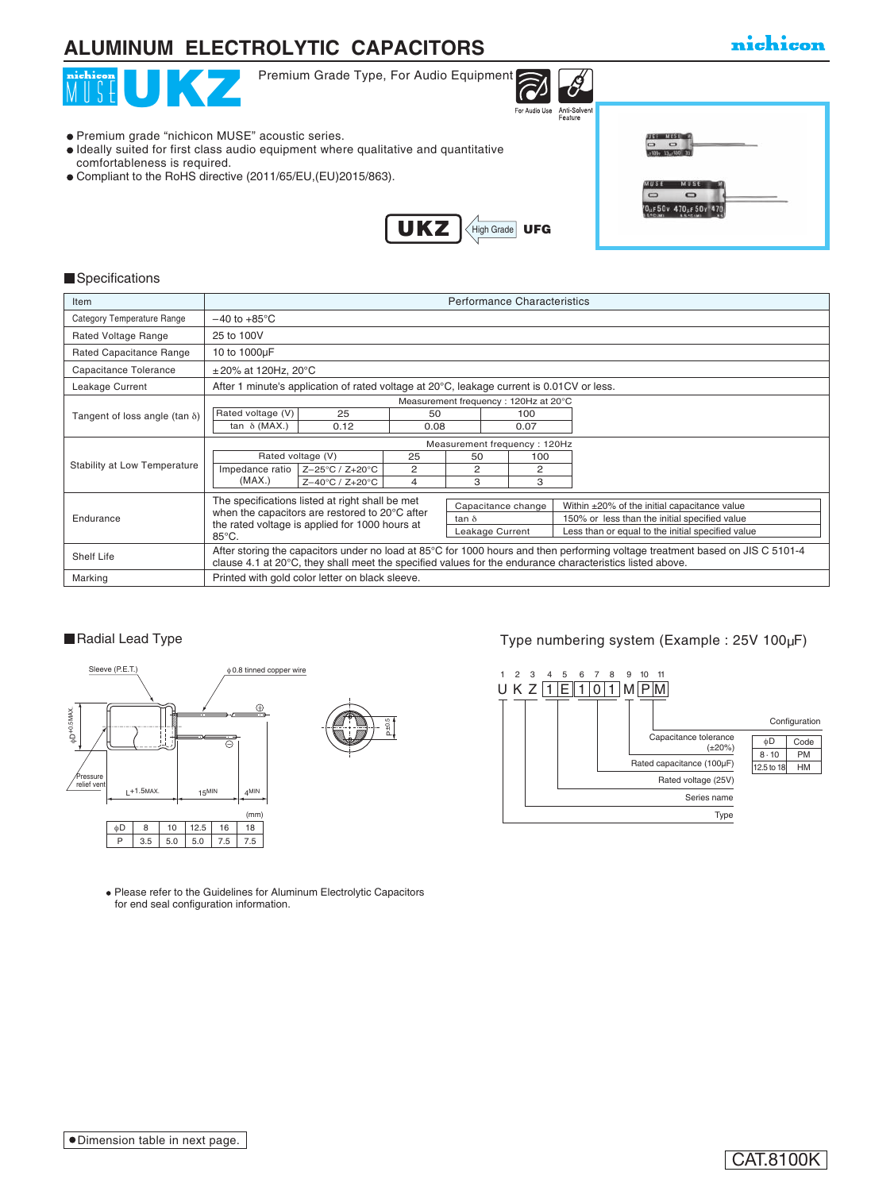## **ALUMINUM ELECTROLYTIC CAPACITORS**

| Premium Grade Type, For Audio Equipment<br>nichicon<br>UI KV<br>Anti-Solvent<br>For Audio Use<br>Feature                                                                                                                                  |                                                                              |
|-------------------------------------------------------------------------------------------------------------------------------------------------------------------------------------------------------------------------------------------|------------------------------------------------------------------------------|
| • Premium grade "nichicon MUSE" acoustic series.<br>• Ideally suited for first class audio equipment where qualitative and quantitative<br>comfortableness is required.<br>• Compliant to the RoHS directive (2011/65/EU, (EU) 2015/863). | <b>MAR</b><br>$\sim$<br><b>MUS</b><br>$\Box$<br>$\sim$<br>10µF 50v 470µF 50v |
| <b>UKZ</b><br>$\left($ High Grade $\left\ $ UFG                                                                                                                                                                                           |                                                                              |

#### **Specifications**

| Item                                  | <b>Performance Characteristics</b>                                                                                                                                                                                                        |                 |                 |              |  |                                                   |                                               |  |
|---------------------------------------|-------------------------------------------------------------------------------------------------------------------------------------------------------------------------------------------------------------------------------------------|-----------------|-----------------|--------------|--|---------------------------------------------------|-----------------------------------------------|--|
| Category Temperature Range            | $-40$ to $+85^{\circ}$ C                                                                                                                                                                                                                  |                 |                 |              |  |                                                   |                                               |  |
| Rated Voltage Range                   | 25 to 100V                                                                                                                                                                                                                                |                 |                 |              |  |                                                   |                                               |  |
| Rated Capacitance Range               | 10 to 1000µF                                                                                                                                                                                                                              |                 |                 |              |  |                                                   |                                               |  |
| Capacitance Tolerance                 | $\pm$ 20% at 120Hz, 20°C                                                                                                                                                                                                                  |                 |                 |              |  |                                                   |                                               |  |
| Leakage Current                       | After 1 minute's application of rated voltage at 20°C, leakage current is 0.01CV or less.                                                                                                                                                 |                 |                 |              |  |                                                   |                                               |  |
|                                       | Measurement frequency: 120Hz at 20°C                                                                                                                                                                                                      |                 |                 |              |  |                                                   |                                               |  |
| Tangent of loss angle (tan $\delta$ ) | Rated voltage (V)                                                                                                                                                                                                                         | 25              | 50              |              |  | 100                                               |                                               |  |
|                                       | tan $\delta$ (MAX.)                                                                                                                                                                                                                       | 0.12            | 0.08            |              |  | 0.07                                              |                                               |  |
|                                       | Measurement frequency: 120Hz                                                                                                                                                                                                              |                 |                 |              |  |                                                   |                                               |  |
| Stability at Low Temperature          | Rated voltage (V)                                                                                                                                                                                                                         |                 | 25              | 50           |  | 100                                               |                                               |  |
|                                       | Impedance ratio                                                                                                                                                                                                                           | Z-25°C / Z+20°C | 2               | 2            |  | 2                                                 |                                               |  |
|                                       | (MAX.)                                                                                                                                                                                                                                    | Z-40°C / Z+20°C | 4               | 3            |  | 3                                                 |                                               |  |
|                                       | The specifications listed at right shall be met<br>Capacitance change                                                                                                                                                                     |                 |                 |              |  | Within ±20% of the initial capacitance value      |                                               |  |
| Endurance                             | when the capacitors are restored to 20°C after                                                                                                                                                                                            |                 |                 | $tan \delta$ |  |                                                   | 150% or less than the initial specified value |  |
|                                       | the rated voltage is applied for 1000 hours at                                                                                                                                                                                            |                 | Leakage Current |              |  | Less than or equal to the initial specified value |                                               |  |
|                                       | $85^{\circ}$ C.                                                                                                                                                                                                                           |                 |                 |              |  |                                                   |                                               |  |
| Shelf Life                            | After storing the capacitors under no load at 85°C for 1000 hours and then performing voltage treatment based on JIS C 5101-4<br>clause 4.1 at 20°C, they shall meet the specified values for the endurance characteristics listed above. |                 |                 |              |  |                                                   |                                               |  |
| Marking                               | Printed with gold color letter on black sleeve.                                                                                                                                                                                           |                 |                 |              |  |                                                   |                                               |  |



Please refer to the Guidelines for Aluminum Electrolytic Capacitors for end seal configuration information.

### ■Radial Lead Type Type numbering system (Example : 25V 100µF)